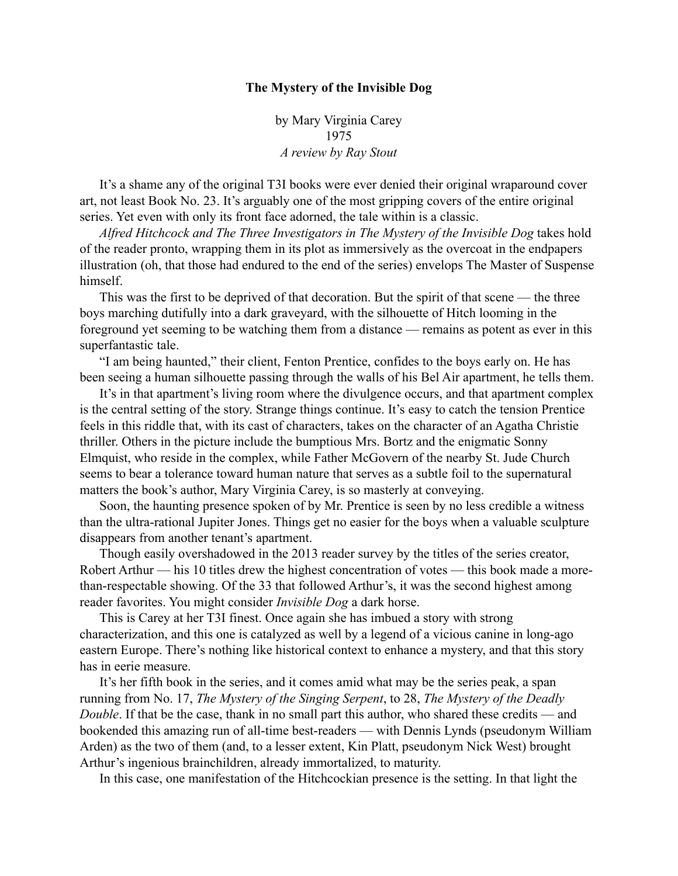## **The Mystery of the Invisible Dog**

by Mary Virginia Carey 1975 *A review by Ray Stout*

It's a shame any of the original T3I books were ever denied their original wraparound cover art, not least Book No. 23. It's arguably one of the most gripping covers of the entire original series. Yet even with only its front face adorned, the tale within is a classic.

*Alfred Hitchcock and The Three Investigators in The Mystery of the Invisible Dog* takes hold of the reader pronto, wrapping them in its plot as immersively as the overcoat in the endpapers illustration (oh, that those had endured to the end of the series) envelops The Master of Suspense himself.

This was the first to be deprived of that decoration. But the spirit of that scene — the three boys marching dutifully into a dark graveyard, with the silhouette of Hitch looming in the foreground yet seeming to be watching them from a distance — remains as potent as ever in this superfantastic tale.

"I am being haunted," their client, Fenton Prentice, confides to the boys early on. He has been seeing a human silhouette passing through the walls of his Bel Air apartment, he tells them.

It's in that apartment's living room where the divulgence occurs, and that apartment complex is the central setting of the story. Strange things continue. It's easy to catch the tension Prentice feels in this riddle that, with its cast of characters, takes on the character of an Agatha Christie thriller. Others in the picture include the bumptious Mrs. Bortz and the enigmatic Sonny Elmquist, who reside in the complex, while Father McGovern of the nearby St. Jude Church seems to bear a tolerance toward human nature that serves as a subtle foil to the supernatural matters the book's author, Mary Virginia Carey, is so masterly at conveying.

Soon, the haunting presence spoken of by Mr. Prentice is seen by no less credible a witness than the ultra-rational Jupiter Jones. Things get no easier for the boys when a valuable sculpture disappears from another tenant's apartment.

Though easily overshadowed in the 2013 reader survey by the titles of the series creator, Robert Arthur — his 10 titles drew the highest concentration of votes — this book made a morethan-respectable showing. Of the 33 that followed Arthur's, it was the second highest among reader favorites. You might consider *Invisible Dog* a dark horse.

This is Carey at her T3I finest. Once again she has imbued a story with strong characterization, and this one is catalyzed as well by a legend of a vicious canine in long-ago eastern Europe. There's nothing like historical context to enhance a mystery, and that this story has in eerie measure.

It's her fifth book in the series, and it comes amid what may be the series peak, a span running from No. 17, *The Mystery of the Singing Serpent*, to 28, *The Mystery of the Deadly Double*. If that be the case, thank in no small part this author, who shared these credits — and bookended this amazing run of all-time best-readers — with Dennis Lynds (pseudonym William Arden) as the two of them (and, to a lesser extent, Kin Platt, pseudonym Nick West) brought Arthur's ingenious brainchildren, already immortalized, to maturity.

In this case, one manifestation of the Hitchcockian presence is the setting. In that light the